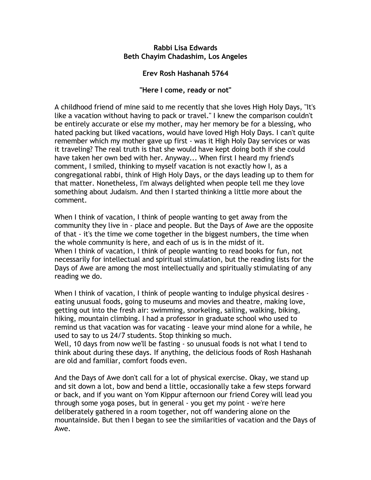## **Rabbi Lisa Edwards Beth Chayim Chadashim, Los Angeles**

## **Erev Rosh Hashanah 5764**

## **"Here I come, ready or not"**

A childhood friend of mine said to me recently that she loves High Holy Days, "It's like a vacation without having to pack or travel." I knew the comparison couldn't be entirely accurate or else my mother, may her memory be for a blessing, who hated packing but liked vacations, would have loved High Holy Days. I can't quite remember which my mother gave up first - was it High Holy Day services or was it traveling? The real truth is that she would have kept doing both if she could have taken her own bed with her. Anyway... When first I heard my friend's comment, I smiled, thinking to myself vacation is not exactly how I, as a congregational rabbi, think of High Holy Days, or the days leading up to them for that matter. Nonetheless, I'm always delighted when people tell me they love something about Judaism. And then I started thinking a little more about the comment.

When I think of vacation, I think of people wanting to get away from the community they live in - place and people. But the Days of Awe are the opposite of that - it's the time we come together in the biggest numbers, the time when the whole community is here, and each of us is in the midst of it. When I think of vacation, I think of people wanting to read books for fun, not necessarily for intellectual and spiritual stimulation, but the reading lists for the Days of Awe are among the most intellectually and spiritually stimulating of any reading we do.

When I think of vacation, I think of people wanting to indulge physical desires eating unusual foods, going to museums and movies and theatre, making love, getting out into the fresh air: swimming, snorkeling, sailing, walking, biking, hiking, mountain climbing. I had a professor in graduate school who used to remind us that vacation was for vacating - leave your mind alone for a while, he used to say to us 24/7 students. Stop thinking so much.

Well, 10 days from now we'll be fasting - so unusual foods is not what I tend to think about during these days. If anything, the delicious foods of Rosh Hashanah are old and familiar, comfort foods even.

And the Days of Awe don't call for a lot of physical exercise. Okay, we stand up and sit down a lot, bow and bend a little, occasionally take a few steps forward or back, and if you want on Yom Kippur afternoon our friend Corey will lead you through some yoga poses, but in general - you get my point - we're here deliberately gathered in a room together, not off wandering alone on the mountainside. But then I began to see the similarities of vacation and the Days of Awe.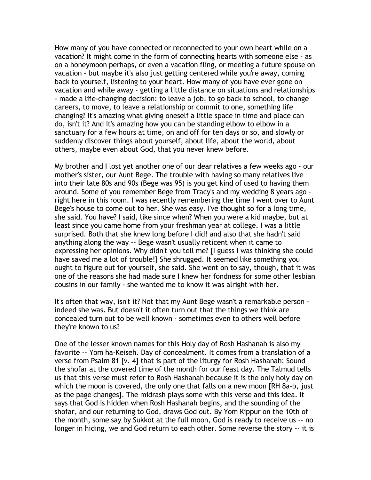How many of you have connected or reconnected to your own heart while on a vacation? It might come in the form of connecting hearts with someone else - as on a honeymoon perhaps, or even a vacation fling, or meeting a future spouse on vacation - but maybe it's also just getting centered while you're away, coming back to yourself, listening to your heart. How many of you have ever gone on vacation and while away - getting a little distance on situations and relationships - made a life-changing decision: to leave a job, to go back to school, to change careers, to move, to leave a relationship or commit to one, something life changing? It's amazing what giving oneself a little space in time and place can do, isn't it? And it's amazing how you can be standing elbow to elbow in a sanctuary for a few hours at time, on and off for ten days or so, and slowly or suddenly discover things about yourself, about life, about the world, about others, maybe even about God, that you never knew before.

My brother and I lost yet another one of our dear relatives a few weeks ago - our mother's sister, our Aunt Bege. The trouble with having so many relatives live into their late 80s and 90s (Bege was 95) is you get kind of used to having them around. Some of you remember Bege from Tracy's and my wedding 8 years ago right here in this room. I was recently remembering the time I went over to Aunt Bege's house to come out to her. She was easy. I've thought so for a long time, she said. You have? I said, like since when? When you were a kid maybe, but at least since you came home from your freshman year at college. I was a little surprised. Both that she knew long before I did! and also that she hadn't said anything along the way -- Bege wasn't usually reticent when it came to expressing her opinions. Why didn't you tell me? [I guess I was thinking she could have saved me a lot of trouble!] She shrugged. It seemed like something you ought to figure out for yourself, she said. She went on to say, though, that it was one of the reasons she had made sure I knew her fondness for some other lesbian cousins in our family - she wanted me to know it was alright with her.

It's often that way, isn't it? Not that my Aunt Bege wasn't a remarkable person indeed she was. But doesn't it often turn out that the things we think are concealed turn out to be well known - sometimes even to others well before they're known to us?

One of the lesser known names for this Holy day of Rosh Hashanah is also my favorite -- Yom ha-Keiseh. Day of concealment. It comes from a translation of a verse from Psalm 81 [v. 4] that is part of the liturgy for Rosh Hashanah: Sound the shofar at the covered time of the month for our feast day. The Talmud tells us that this verse must refer to Rosh Hashanah because it is the only holy day on which the moon is covered, the only one that falls on a new moon [RH 8a-b, just as the page changes]. The midrash plays some with this verse and this idea. It says that God is hidden when Rosh Hashanah begins, and the sounding of the shofar, and our returning to God, draws God out. By Yom Kippur on the 10th of the month, some say by Sukkot at the full moon, God is ready to receive us -- no longer in hiding, we and God return to each other. Some reverse the story -- it is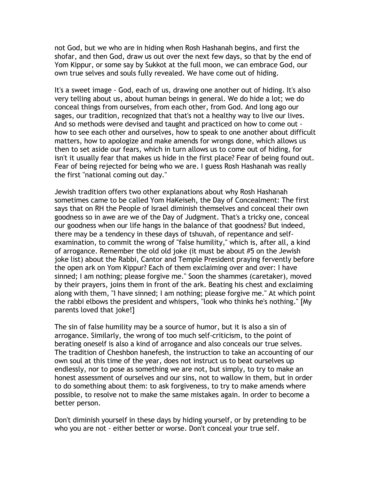not God, but we who are in hiding when Rosh Hashanah begins, and first the shofar, and then God, draw us out over the next few days, so that by the end of Yom Kippur, or some say by Sukkot at the full moon, we can embrace God, our own true selves and souls fully revealed. We have come out of hiding.

It's a sweet image - God, each of us, drawing one another out of hiding. It's also very telling about us, about human beings in general. We do hide a lot; we do conceal things from ourselves, from each other, from God. And long ago our sages, our tradition, recognized that that's not a healthy way to live our lives. And so methods were devised and taught and practiced on how to come out how to see each other and ourselves, how to speak to one another about difficult matters, how to apologize and make amends for wrongs done, which allows us then to set aside our fears, which in turn allows us to come out of hiding, for isn't it usually fear that makes us hide in the first place? Fear of being found out. Fear of being rejected for being who we are. I guess Rosh Hashanah was really the first "national coming out day."

Jewish tradition offers two other explanations about why Rosh Hashanah sometimes came to be called Yom HaKeiseh, the Day of Concealment: The first says that on RH the People of Israel diminish themselves and conceal their own goodness so in awe are we of the Day of Judgment. That's a tricky one, conceal our goodness when our life hangs in the balance of that goodness? But indeed, there may be a tendency in these days of tshuvah, of repentance and selfexamination, to commit the wrong of "false humility," which is, after all, a kind of arrogance. Remember the old old joke (it must be about #5 on the Jewish joke list) about the Rabbi, Cantor and Temple President praying fervently before the open ark on Yom Kippur? Each of them exclaiming over and over: I have sinned; I am nothing; please forgive me." Soon the shammes (caretaker), moved by their prayers, joins them in front of the ark. Beating his chest and exclaiming along with them, "I have sinned; I am nothing; please forgive me." At which point the rabbi elbows the president and whispers, "look who thinks he's nothing." [My parents loved that joke!]

The sin of false humility may be a source of humor, but it is also a sin of arrogance. Similarly, the wrong of too much self-criticism, to the point of berating oneself is also a kind of arrogance and also conceals our true selves. The tradition of Cheshbon hanefesh, the instruction to take an accounting of our own soul at this time of the year, does not instruct us to beat ourselves up endlessly, nor to pose as something we are not, but simply, to try to make an honest assessment of ourselves and our sins, not to wallow in them, but in order to do something about them: to ask forgiveness, to try to make amends where possible, to resolve not to make the same mistakes again. In order to become a better person.

Don't diminish yourself in these days by hiding yourself, or by pretending to be who you are not - either better or worse. Don't conceal your true self.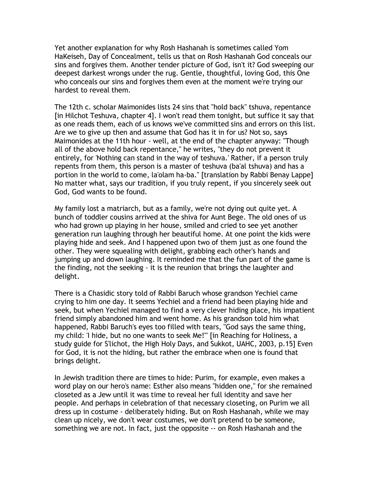Yet another explanation for why Rosh Hashanah is sometimes called Yom HaKeiseh, Day of Concealment, tells us that on Rosh Hashanah God conceals our sins and forgives them. Another tender picture of God, isn't it? God sweeping our deepest darkest wrongs under the rug. Gentle, thoughtful, loving God, this One who conceals our sins and forgives them even at the moment we're trying our hardest to reveal them.

The 12th c. scholar Maimonides lists 24 sins that "hold back" tshuva, repentance [in Hilchot Teshuva, chapter 4]. I won't read them tonight, but suffice it say that as one reads them, each of us knows we've committed sins and errors on this list. Are we to give up then and assume that God has it in for us? Not so, says Maimonides at the 11th hour - well, at the end of the chapter anyway: "Though all of the above hold back repentance," he writes, "they do not prevent it entirely, for 'Nothing can stand in the way of teshuva.' Rather, if a person truly repents from them, this person is a master of teshuva (ba'al tshuva) and has a portion in the world to come, la'olam ha-ba." [translation by Rabbi Benay Lappe] No matter what, says our tradition, if you truly repent, if you sincerely seek out God, God wants to be found.

My family lost a matriarch, but as a family, we're not dying out quite yet. A bunch of toddler cousins arrived at the shiva for Aunt Bege. The old ones of us who had grown up playing in her house, smiled and cried to see yet another generation run laughing through her beautiful home. At one point the kids were playing hide and seek. And I happened upon two of them just as one found the other. They were squealing with delight, grabbing each other's hands and jumping up and down laughing. It reminded me that the fun part of the game is the finding, not the seeking - it is the reunion that brings the laughter and delight.

There is a Chasidic story told of Rabbi Baruch whose grandson Yechiel came crying to him one day. It seems Yechiel and a friend had been playing hide and seek, but when Yechiel managed to find a very clever hiding place, his impatient friend simply abandoned him and went home. As his grandson told him what happened, Rabbi Baruch's eyes too filled with tears, "God says the same thing, my child: 'I hide, but no one wants to seek Me!'" [in Reaching for Holiness, a study guide for S'lichot, the High Holy Days, and Sukkot, UAHC, 2003, p.15] Even for God, it is not the hiding, but rather the embrace when one is found that brings delight.

In Jewish tradition there are times to hide: Purim, for example, even makes a word play on our hero's name: Esther also means "hidden one," for she remained closeted as a Jew until it was time to reveal her full identity and save her people. And perhaps in celebration of that necessary closeting, on Purim we all dress up in costume - deliberately hiding. But on Rosh Hashanah, while we may clean up nicely, we don't wear costumes, we don't pretend to be someone, something we are not. In fact, just the opposite -- on Rosh Hashanah and the